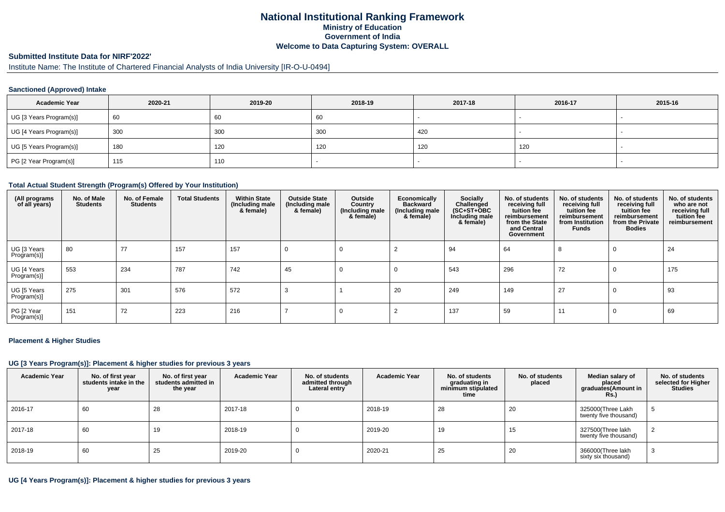# **National Institutional Ranking FrameworkMinistry of Education Government of IndiaWelcome to Data Capturing System: OVERALL**

### **Submitted Institute Data for NIRF'2022'**

# Institute Name: The Institute of Chartered Financial Analysts of India University [IR-O-U-0494]

### **Sanctioned (Approved) Intake**

| <b>Academic Year</b>    | 2020-21 | 2019-20 | 2018-19 | 2017-18 | 2016-17 | 2015-16 |
|-------------------------|---------|---------|---------|---------|---------|---------|
| UG [3 Years Program(s)] | 60      | 60      | 60      |         |         |         |
| UG [4 Years Program(s)] | 300     | 300     | 300     | 420     |         |         |
| UG [5 Years Program(s)] | 180     | 120     | 120     | 120     | 120     | -       |
| PG [2 Year Program(s)]  | 115     | 110     |         |         |         |         |

#### **Total Actual Student Strength (Program(s) Offered by Your Institution)**

| (All programs<br>of all years) | No. of Male<br><b>Students</b> | No. of Female<br><b>Students</b> | <b>Total Students</b> | <b>Within State</b><br>(Including male<br>& female) | <b>Outside State</b><br>(Including male<br>& female) | Outside<br>Country<br>(Including male)<br>& female) | Economically<br><b>Backward</b><br>(Including male<br>& female) | Socially<br>Challenged<br>$(SC+ST+OBC)$<br>Including male<br>& female) | No. of students<br>receiving full<br>tuition fee<br>reimbursement<br>from the State<br>and Central<br>Government | No. of students<br>receiving full<br>tuition fee<br>reimbursement<br>from Institution<br><b>Funds</b> | No. of students<br>receiving full<br>tuition fee<br>reimbursement<br>from the Private<br><b>Bodies</b> | No. of students<br>who are not<br>receiving full<br>tuition fee<br>reimbursement |
|--------------------------------|--------------------------------|----------------------------------|-----------------------|-----------------------------------------------------|------------------------------------------------------|-----------------------------------------------------|-----------------------------------------------------------------|------------------------------------------------------------------------|------------------------------------------------------------------------------------------------------------------|-------------------------------------------------------------------------------------------------------|--------------------------------------------------------------------------------------------------------|----------------------------------------------------------------------------------|
| UG [3 Years<br>Program(s)]     | 80                             | 77                               | 157                   | 157                                                 | 0                                                    |                                                     |                                                                 | 94                                                                     | 64                                                                                                               | 8                                                                                                     | $\Omega$                                                                                               | 24                                                                               |
| UG [4 Years<br>Program(s)]     | 553                            | 234                              | 787                   | 742                                                 | 45                                                   | 0                                                   | -0                                                              | 543                                                                    | 296                                                                                                              | 72                                                                                                    | $\mathbf 0$                                                                                            | 175                                                                              |
| UG [5 Years<br>Program(s)]     | 275                            | 301                              | 576                   | 572                                                 | 3                                                    |                                                     | 20                                                              | 249                                                                    | 149                                                                                                              | 27                                                                                                    | 0                                                                                                      | 93                                                                               |
| PG [2 Year<br>Program(s)]      | 151                            | 72                               | 223                   | 216                                                 |                                                      |                                                     |                                                                 | 137                                                                    | 59                                                                                                               | 11                                                                                                    | 0                                                                                                      | 69                                                                               |

#### **Placement & Higher Studies**

#### **UG [3 Years Program(s)]: Placement & higher studies for previous 3 years**

| <b>Academic Year</b> | No. of first year<br>students intake in the<br>year | No. of first vear<br>students admitted in<br>the year | <b>Academic Year</b> | No. of students<br>admitted through<br>Lateral entry | <b>Academic Year</b> | No. of students<br>graduating in<br>minimum stipulated<br>time | No. of students<br>placed | Median salary of<br>placed<br>graduates(Amount in<br><b>Rs.)</b> | No. of students<br>selected for Higher<br><b>Studies</b> |
|----------------------|-----------------------------------------------------|-------------------------------------------------------|----------------------|------------------------------------------------------|----------------------|----------------------------------------------------------------|---------------------------|------------------------------------------------------------------|----------------------------------------------------------|
| 2016-17              | 60                                                  | 28                                                    | 2017-18              |                                                      | 2018-19              | 28                                                             | 20                        | 325000(Three Lakh<br>twenty five thousand)                       | G                                                        |
| 2017-18              | 60                                                  | 19                                                    | 2018-19              |                                                      | 2019-20              | 19                                                             | 15                        | 327500(Three lakh<br>twenty five thousand)                       |                                                          |
| 2018-19              | 60                                                  | 25                                                    | 2019-20              |                                                      | 2020-21              | 25                                                             | 20                        | 366000(Three lakh<br>sixty six thousand)                         | دت                                                       |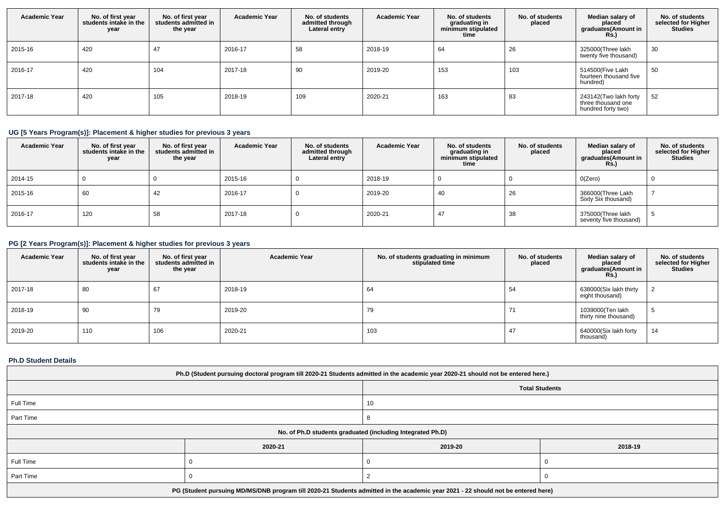| <b>Academic Year</b> | No. of first year<br>students intake in the<br>year | No. of first year<br>students admitted in<br>the year | <b>Academic Year</b> | No. of students<br>admitted through<br>Lateral entry | <b>Academic Year</b> | No. of students<br>graduating in<br>minimum stipulated<br>time | No. of students<br>placed | Median salary of<br>placed<br>graduates(Amount in<br><b>Rs.)</b>  | No. of students<br>selected for Higher<br><b>Studies</b> |
|----------------------|-----------------------------------------------------|-------------------------------------------------------|----------------------|------------------------------------------------------|----------------------|----------------------------------------------------------------|---------------------------|-------------------------------------------------------------------|----------------------------------------------------------|
| 2015-16              | 420                                                 | 47                                                    | 2016-17              | 58                                                   | 2018-19              | 64                                                             | 26                        | 325000(Three lakh<br>twenty five thousand)                        | 30                                                       |
| 2016-17              | 420                                                 | 104                                                   | 2017-18              | 90                                                   | 2019-20              | 153                                                            | 103                       | 514500(Five Lakh<br>fourteen thousand five<br>hundred)            | 50                                                       |
| 2017-18              | 420                                                 | 105                                                   | 2018-19              | 109                                                  | 2020-21              | 163                                                            | 83                        | 243142(Two lakh forty<br>three thousand one<br>hundred forty two) | 52                                                       |

# **UG [5 Years Program(s)]: Placement & higher studies for previous 3 years**

| <b>Academic Year</b> | No. of first year<br>students intake in the<br>year | No. of first vear<br>students admitted in<br>the year | <b>Academic Year</b> | No. of students<br>admitted through<br>Lateral entry | <b>Academic Year</b> | No. of students<br>graduating in<br>minimum stipulated<br>time | No. of students<br>placed | Median salary of<br>placed<br>graduates(Amount in<br><b>Rs.)</b> | No. of students<br>selected for Higher<br><b>Studies</b> |
|----------------------|-----------------------------------------------------|-------------------------------------------------------|----------------------|------------------------------------------------------|----------------------|----------------------------------------------------------------|---------------------------|------------------------------------------------------------------|----------------------------------------------------------|
| 2014-15              |                                                     |                                                       | 2015-16              |                                                      | 2018-19              |                                                                |                           | O(Zero)                                                          |                                                          |
| 2015-16              | 60                                                  | 42                                                    | 2016-17              |                                                      | 2019-20              | 40                                                             | 26                        | 366000(Three Lakh<br>Sixty Six thousand)                         |                                                          |
| 2016-17              | 120                                                 | 58                                                    | 2017-18              |                                                      | 2020-21              | 47                                                             | 38                        | 375000(Three lakh<br>seventy five thousand)                      |                                                          |

# **PG [2 Years Program(s)]: Placement & higher studies for previous 3 years**

| <b>Academic Year</b> | No. of first year<br>students intake in the<br>year | No. of first year<br>students admitted in<br>the year | <b>Academic Year</b> | No. of students graduating in minimum<br>stipulated time | No. of students<br>placed | Median salary of<br>placed<br>graduates(Amount in<br>Rs.) | No. of students<br>selected for Higher<br><b>Studies</b> |
|----------------------|-----------------------------------------------------|-------------------------------------------------------|----------------------|----------------------------------------------------------|---------------------------|-----------------------------------------------------------|----------------------------------------------------------|
| 2017-18              | 80                                                  | 67                                                    | 2018-19              | 64                                                       | 54                        | 638000(Six lakh thirty<br>eight thousand)                 |                                                          |
| 2018-19              | 90                                                  | 79                                                    | 2019-20              | 79                                                       |                           | 1039000(Ten lakh<br>thirty nine thousand)                 | D.                                                       |
| 2019-20              | 110                                                 | 106                                                   | 2020-21              | 103                                                      | 47                        | 640000(Six lakh forty<br>thousand)                        | 14                                                       |

# **Ph.D Student Details**

| Ph.D (Student pursuing doctoral program till 2020-21 Students admitted in the academic year 2020-21 should not be entered here.) |         |         |         |  |  |  |
|----------------------------------------------------------------------------------------------------------------------------------|---------|---------|---------|--|--|--|
| <b>Total Students</b>                                                                                                            |         |         |         |  |  |  |
| Full Time                                                                                                                        |         | 10      |         |  |  |  |
| Part Time                                                                                                                        |         |         |         |  |  |  |
| No. of Ph.D students graduated (including Integrated Ph.D)                                                                       |         |         |         |  |  |  |
|                                                                                                                                  | 2020-21 | 2019-20 | 2018-19 |  |  |  |
| Full Time                                                                                                                        |         |         |         |  |  |  |
| Part Time                                                                                                                        |         |         |         |  |  |  |
| PG (Student pursuing MD/MS/DNB program till 2020-21 Students admitted in the academic year 2021 - 22 should not be entered here) |         |         |         |  |  |  |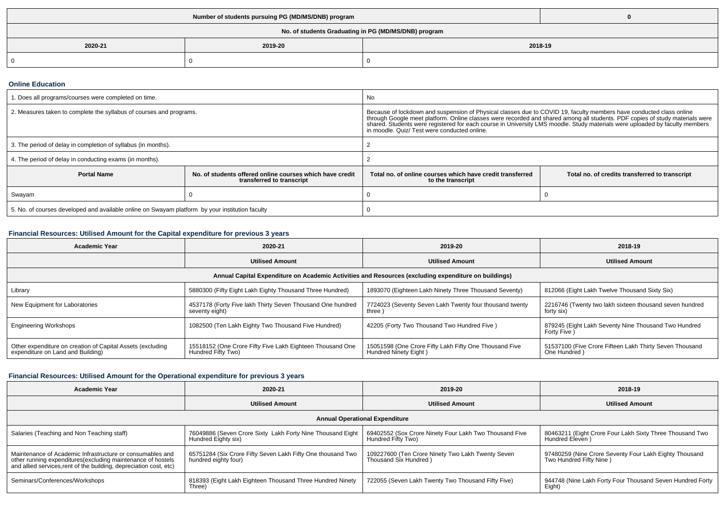| No. of students Graduating in PG (MD/MS/DNB) program |  |  |  |  |  |  |
|------------------------------------------------------|--|--|--|--|--|--|
| 2019-20<br>2018-19<br>2020-21                        |  |  |  |  |  |  |
| $\Omega$                                             |  |  |  |  |  |  |

#### **Online Education**

| . Does all programs/courses were completed on time.                                                         |  | No.                                                                                                                                                                                                                                                                                                                                                                                                              |                                                |  |
|-------------------------------------------------------------------------------------------------------------|--|------------------------------------------------------------------------------------------------------------------------------------------------------------------------------------------------------------------------------------------------------------------------------------------------------------------------------------------------------------------------------------------------------------------|------------------------------------------------|--|
| 2. Measures taken to complete the syllabus of courses and programs.                                         |  | Because of lockdown and suspension of Physical classes due to COVID 19, faculty members have conducted class online<br>through Google meet platform. Online classes were recorded and shared among all students. PDF copies of st<br>shared. Students were registered for each course in University LMS moodle. Study materials were uploaded by faculty members<br>in moodle. Quiz/ Test were conducted online. |                                                |  |
| 3. The period of delay in completion of syllabus (in months).                                               |  |                                                                                                                                                                                                                                                                                                                                                                                                                  |                                                |  |
| 4. The period of delay in conducting exams (in months).                                                     |  |                                                                                                                                                                                                                                                                                                                                                                                                                  |                                                |  |
| No. of students offered online courses which have credit<br><b>Portal Name</b><br>transferred to transcript |  | Total no, of online courses which have credit transferred<br>to the transcript                                                                                                                                                                                                                                                                                                                                   | Total no. of credits transferred to transcript |  |
| Swayam                                                                                                      |  |                                                                                                                                                                                                                                                                                                                                                                                                                  |                                                |  |
| 5. No. of courses developed and available online on Swayam platform by your institution faculty             |  |                                                                                                                                                                                                                                                                                                                                                                                                                  |                                                |  |

# **Financial Resources: Utilised Amount for the Capital expenditure for previous 3 years**

| <b>Academic Year</b>                                                                                 | 2020-21                                                                         | 2019-20                                                                         | 2018-19                                                                  |  |  |  |  |
|------------------------------------------------------------------------------------------------------|---------------------------------------------------------------------------------|---------------------------------------------------------------------------------|--------------------------------------------------------------------------|--|--|--|--|
|                                                                                                      | <b>Utilised Amount</b>                                                          | <b>Utilised Amount</b>                                                          | <b>Utilised Amount</b>                                                   |  |  |  |  |
| Annual Capital Expenditure on Academic Activities and Resources (excluding expenditure on buildings) |                                                                                 |                                                                                 |                                                                          |  |  |  |  |
| Library                                                                                              | 5880300 (Fifty Eight Lakh Eighty Thousand Three Hundred)                        | 1893070 (Eighteen Lakh Ninety Three Thousand Seventy)                           | 812066 (Eight Lakh Twelve Thousand Sixty Six)                            |  |  |  |  |
| New Equipment for Laboratories                                                                       | 4537178 (Forty Five lakh Thirty Seven Thousand One hundred<br>seventy eight)    | 7724023 (Seventy Seven Lakh Twenty four thousand twenty<br>three )              | 2216746 (Twenty two lakh sixteen thousand seven hundred<br>forty six)    |  |  |  |  |
| <b>Engineering Workshops</b>                                                                         | 1082500 (Ten Lakh Eighty Two Thousand Five Hundred)                             | 42205 (Forty Two Thousand Two Hundred Five)                                     | 879245 (Eight Lakh Seventy Nine Thousand Two Hundred<br>Forty Five)      |  |  |  |  |
| Other expenditure on creation of Capital Assets (excluding<br>expenditure on Land and Building)      | 15518152 (One Crore Fifty Five Lakh Eighteen Thousand One<br>Hundred Fifty Two) | 15051598 (One Crore Fifty Lakh Fifty One Thousand Five<br>Hundred Ninety Eight) | 51537100 (Five Crore Fifteen Lakh Thirty Seven Thousand<br>One Hundred ) |  |  |  |  |

# **Financial Resources: Utilised Amount for the Operational expenditure for previous 3 years**

| <b>Academic Year</b>                                                                                                                                                                            | 2020-21                                                                             | 2019-20                                                                      | 2018-19                                                                           |  |  |  |  |
|-------------------------------------------------------------------------------------------------------------------------------------------------------------------------------------------------|-------------------------------------------------------------------------------------|------------------------------------------------------------------------------|-----------------------------------------------------------------------------------|--|--|--|--|
|                                                                                                                                                                                                 | <b>Utilised Amount</b>                                                              | <b>Utilised Amount</b>                                                       | <b>Utilised Amount</b>                                                            |  |  |  |  |
| <b>Annual Operational Expenditure</b>                                                                                                                                                           |                                                                                     |                                                                              |                                                                                   |  |  |  |  |
| Salaries (Teaching and Non Teaching staff)                                                                                                                                                      | 76049886 (Seven Crore Sixty Lakh Forty Nine Thousand Eight<br>Hundred Eighty six)   | 69402552 (Sox Crore Ninety Four Lakh Two Thousand Five<br>Hundred Fifty Two) | 80463211 (Eight Crore Four Lakh Sixty Three Thousand Two<br>Hundred Eleven)       |  |  |  |  |
| Maintenance of Academic Infrastructure or consumables and<br>other running expenditures (excluding maintenance of hostels<br>and allied services, rent of the building, depreciation cost, etc) | 65751284 (Six Crore Fifty Seven Lakh Fifty One thousand Two<br>hundred eighty four) | 109227600 (Ten Crore Ninety Two Lakh Twenty Seven<br>Thousand Six Hundred)   | 97480259 (Nine Crore Seventy Four Lakh Eighty Thousand<br>Two Hundred Fifty Nine) |  |  |  |  |
| Seminars/Conferences/Workshops                                                                                                                                                                  | 818393 (Eight Lakh Eighteen Thousand Three Hundred Ninety<br>Three)                 | 722055 (Seven Lakh Twenty Two Thousand Fifty Five)                           | 944748 (Nine Lakh Forty Four Thousand Seven Hundred Forty<br>Eight)               |  |  |  |  |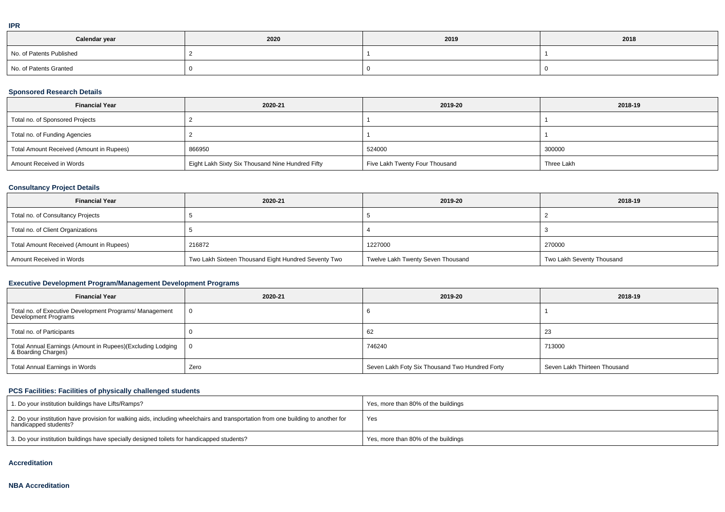|   | ۰ |
|---|---|
| I |   |
|   |   |

| Calendar year            | 2020 | 2019 | 2018 |
|--------------------------|------|------|------|
| No. of Patents Published |      |      |      |
| No. of Patents Granted   |      |      |      |

## **Sponsored Research Details**

| <b>Financial Year</b>                    | 2020-21                                          | 2019-20                        | 2018-19    |
|------------------------------------------|--------------------------------------------------|--------------------------------|------------|
| Total no. of Sponsored Projects          |                                                  |                                |            |
| Total no. of Funding Agencies            |                                                  |                                |            |
| Total Amount Received (Amount in Rupees) | 866950                                           | 524000                         | 300000     |
| Amount Received in Words                 | Eight Lakh Sixty Six Thousand Nine Hundred Fifty | Five Lakh Twenty Four Thousand | Three Lakh |

### **Consultancy Project Details**

| <b>Financial Year</b>                    | 2020-21                                             | 2019-20                           | 2018-19                   |
|------------------------------------------|-----------------------------------------------------|-----------------------------------|---------------------------|
| Total no. of Consultancy Projects        |                                                     |                                   |                           |
| Total no. of Client Organizations        |                                                     |                                   |                           |
| Total Amount Received (Amount in Rupees) | 216872                                              | 1227000                           | 270000                    |
| Amount Received in Words                 | Two Lakh Sixteen Thousand Eight Hundred Seventy Two | Twelve Lakh Twenty Seven Thousand | Two Lakh Seventy Thousand |

### **Executive Development Program/Management Development Programs**

| <b>Financial Year</b>                                                            | 2020-21 | 2019-20                                        | 2018-19                      |
|----------------------------------------------------------------------------------|---------|------------------------------------------------|------------------------------|
| Total no. of Executive Development Programs/ Management<br>Development Programs  |         |                                                |                              |
| Total no. of Participants                                                        |         | 62                                             | -23                          |
| Total Annual Earnings (Amount in Rupees)(Excluding Lodging<br>& Boarding Charges | - 0     | 746240                                         | 713000                       |
| Total Annual Earnings in Words                                                   | Zero    | Seven Lakh Foty Six Thousand Two Hundred Forty | Seven Lakh Thirteen Thousand |

### **PCS Facilities: Facilities of physically challenged students**

| 1. Do your institution buildings have Lifts/Ramps?                                                                                                         | Yes, more than 80% of the buildings |
|------------------------------------------------------------------------------------------------------------------------------------------------------------|-------------------------------------|
| 2. Do your institution have provision for walking aids, including wheelchairs and transportation from one building to another for<br>handicapped students? | Yes                                 |
| 3. Do your institution buildings have specially designed toilets for handicapped students?                                                                 | Yes, more than 80% of the buildings |

#### **Accreditation**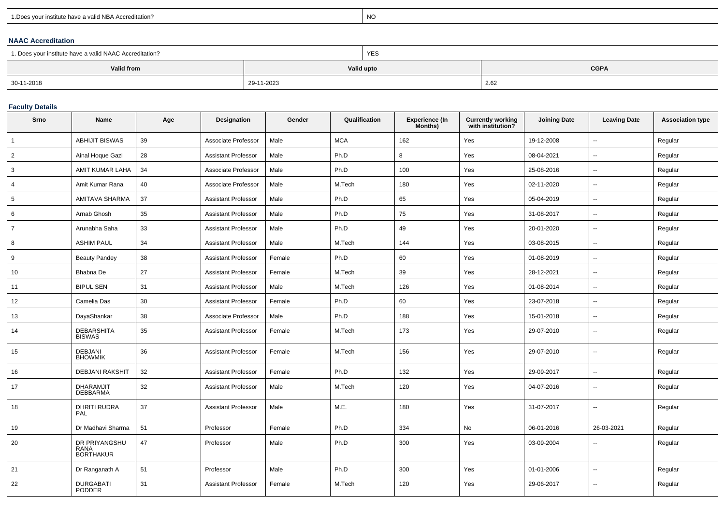| 1. Does your institute have a valid NBA Accreditation? |  |
|--------------------------------------------------------|--|
|                                                        |  |

expression of the contract of the contract of the contract of the contract of the contract of the contract of the contract of the contract of the contract of the contract of the contract of the contract of the contract of

### **NAAC Accreditation**

| 1. Does your institute have a valid NAAC Accreditation? |            | <b>YES</b> |             |
|---------------------------------------------------------|------------|------------|-------------|
| Valid from                                              |            | Valid upto | <b>CGPA</b> |
| 30-11-2018                                              | 29-11-2023 |            | 2.62        |

# **Faculty Details**

| Srno           | Name                                             | Age | Designation                | Gender | Qualification | <b>Experience (In</b><br>Months) | Currently working<br>with institution? | <b>Joining Date</b> | <b>Leaving Date</b>      | <b>Association type</b> |
|----------------|--------------------------------------------------|-----|----------------------------|--------|---------------|----------------------------------|----------------------------------------|---------------------|--------------------------|-------------------------|
| $\mathbf{1}$   | <b>ABHIJIT BISWAS</b>                            | 39  | Associate Professor        | Male   | <b>MCA</b>    | 162                              | Yes                                    | 19-12-2008          | $\sim$                   | Regular                 |
| $\overline{2}$ | Ainal Hoque Gazi                                 | 28  | <b>Assistant Professor</b> | Male   | Ph.D          | 8                                | Yes                                    | 08-04-2021          | $\sim$                   | Regular                 |
| 3              | AMIT KUMAR LAHA                                  | 34  | Associate Professor        | Male   | Ph.D          | 100                              | Yes                                    | 25-08-2016          | $\overline{\phantom{a}}$ | Regular                 |
| $\overline{4}$ | Amit Kumar Rana                                  | 40  | Associate Professor        | Male   | M.Tech        | 180                              | Yes                                    | 02-11-2020          | $\overline{\phantom{a}}$ | Regular                 |
| 5              | AMITAVA SHARMA                                   | 37  | <b>Assistant Professor</b> | Male   | Ph.D          | 65                               | Yes                                    | 05-04-2019          | $\sim$                   | Regular                 |
| 6              | Arnab Ghosh                                      | 35  | <b>Assistant Professor</b> | Male   | Ph.D          | 75                               | Yes                                    | 31-08-2017          | $\sim$                   | Regular                 |
| $\overline{7}$ | Arunabha Saha                                    | 33  | <b>Assistant Professor</b> | Male   | Ph.D          | 49                               | Yes                                    | 20-01-2020          | $\overline{\phantom{a}}$ | Regular                 |
| 8              | <b>ASHIM PAUL</b>                                | 34  | <b>Assistant Professor</b> | Male   | M.Tech        | 144                              | Yes                                    | 03-08-2015          | $\sim$                   | Regular                 |
| 9              | <b>Beauty Pandey</b>                             | 38  | <b>Assistant Professor</b> | Female | Ph.D          | 60                               | Yes                                    | 01-08-2019          | $\overline{\phantom{a}}$ | Regular                 |
| 10             | Bhabna De                                        | 27  | <b>Assistant Professor</b> | Female | M.Tech        | 39                               | Yes                                    | 28-12-2021          | $\overline{\phantom{a}}$ | Regular                 |
| 11             | <b>BIPUL SEN</b>                                 | 31  | <b>Assistant Professor</b> | Male   | M.Tech        | 126                              | Yes                                    | 01-08-2014          | $\sim$                   | Regular                 |
| 12             | Camelia Das                                      | 30  | Assistant Professor        | Female | Ph.D          | 60                               | Yes                                    | 23-07-2018          | $\sim$                   | Regular                 |
| 13             | DayaShankar                                      | 38  | Associate Professor        | Male   | Ph.D          | 188                              | Yes                                    | 15-01-2018          | $\sim$                   | Regular                 |
| 14             | <b>DEBARSHITA</b><br><b>BISWAS</b>               | 35  | <b>Assistant Professor</b> | Female | M.Tech        | 173                              | Yes                                    | 29-07-2010          | $\sim$                   | Regular                 |
| 15             | <b>DEBJANI</b><br><b>BHOWMIK</b>                 | 36  | <b>Assistant Professor</b> | Female | M.Tech        | 156                              | Yes                                    | 29-07-2010          | $\overline{\phantom{a}}$ | Regular                 |
| 16             | <b>DEBJANI RAKSHIT</b>                           | 32  | <b>Assistant Professor</b> | Female | Ph.D          | 132                              | Yes                                    | 29-09-2017          | $\sim$                   | Regular                 |
| 17             | <b>DHARAMJIT</b><br><b>DEBBARMA</b>              | 32  | <b>Assistant Professor</b> | Male   | M.Tech        | 120                              | Yes                                    | 04-07-2016          | $\overline{\phantom{a}}$ | Regular                 |
| 18             | <b>DHRITI RUDRA</b><br>PAL                       | 37  | <b>Assistant Professor</b> | Male   | M.E.          | 180                              | Yes                                    | 31-07-2017          | $\overline{a}$           | Regular                 |
| 19             | Dr Madhavi Sharma                                | 51  | Professor                  | Female | Ph.D          | 334                              | No                                     | 06-01-2016          | 26-03-2021               | Regular                 |
| 20             | DR PRIYANGSHU<br><b>RANA</b><br><b>BORTHAKUR</b> | 47  | Professor                  | Male   | Ph.D          | 300                              | Yes                                    | 03-09-2004          |                          | Regular                 |
| 21             | Dr Ranganath A                                   | 51  | Professor                  | Male   | Ph.D          | 300                              | Yes                                    | 01-01-2006          | $\overline{\phantom{a}}$ | Regular                 |
| 22             | <b>DURGABATI</b><br><b>PODDER</b>                | 31  | <b>Assistant Professor</b> | Female | M.Tech        | 120                              | Yes                                    | 29-06-2017          | $\sim$                   | Regular                 |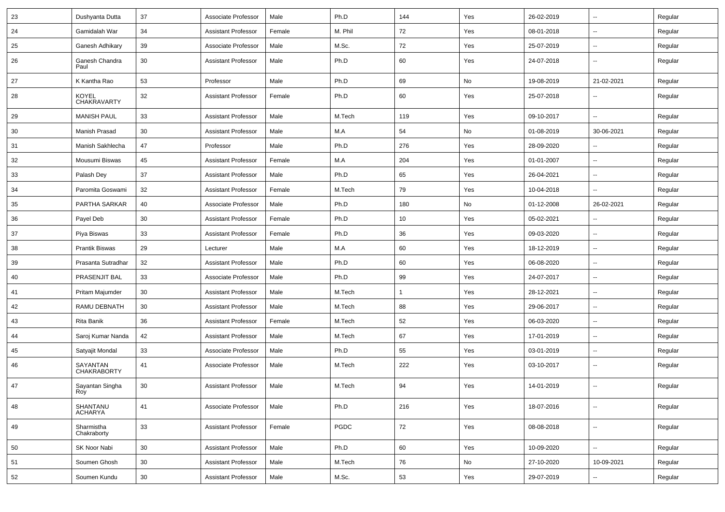| 23 | Dushyanta Dutta                | 37 | Associate Professor        | Male   | Ph.D    | 144 | Yes | 26-02-2019 | $\overline{\phantom{a}}$ | Regular |
|----|--------------------------------|----|----------------------------|--------|---------|-----|-----|------------|--------------------------|---------|
| 24 | Gamidalah War                  | 34 | <b>Assistant Professor</b> | Female | M. Phil | 72  | Yes | 08-01-2018 | $\overline{\phantom{a}}$ | Regular |
| 25 | Ganesh Adhikary                | 39 | Associate Professor        | Male   | M.Sc.   | 72  | Yes | 25-07-2019 | Щ,                       | Regular |
| 26 | Ganesh Chandra<br>Paul         | 30 | <b>Assistant Professor</b> | Male   | Ph.D    | 60  | Yes | 24-07-2018 | $\overline{\phantom{a}}$ | Regular |
| 27 | K Kantha Rao                   | 53 | Professor                  | Male   | Ph.D    | 69  | No  | 19-08-2019 | 21-02-2021               | Regular |
| 28 | KOYEL<br>CHAKRAVARTY           | 32 | <b>Assistant Professor</b> | Female | Ph.D    | 60  | Yes | 25-07-2018 | $\overline{\phantom{a}}$ | Regular |
| 29 | <b>MANISH PAUL</b>             | 33 | <b>Assistant Professor</b> | Male   | M.Tech  | 119 | Yes | 09-10-2017 | Ξ.                       | Regular |
| 30 | Manish Prasad                  | 30 | <b>Assistant Professor</b> | Male   | M.A     | 54  | No  | 01-08-2019 | 30-06-2021               | Regular |
| 31 | Manish Sakhlecha               | 47 | Professor                  | Male   | Ph.D    | 276 | Yes | 28-09-2020 | $\overline{\phantom{a}}$ | Regular |
| 32 | Mousumi Biswas                 | 45 | <b>Assistant Professor</b> | Female | M.A     | 204 | Yes | 01-01-2007 | Ξ.                       | Regular |
| 33 | Palash Dey                     | 37 | <b>Assistant Professor</b> | Male   | Ph.D    | 65  | Yes | 26-04-2021 | $\overline{\phantom{a}}$ | Regular |
| 34 | Paromita Goswami               | 32 | <b>Assistant Professor</b> | Female | M.Tech  | 79  | Yes | 10-04-2018 | $\overline{\phantom{a}}$ | Regular |
| 35 | PARTHA SARKAR                  | 40 | Associate Professor        | Male   | Ph.D    | 180 | No  | 01-12-2008 | 26-02-2021               | Regular |
| 36 | Payel Deb                      | 30 | <b>Assistant Professor</b> | Female | Ph.D    | 10  | Yes | 05-02-2021 | $\sim$                   | Regular |
| 37 | Piya Biswas                    | 33 | <b>Assistant Professor</b> | Female | Ph.D    | 36  | Yes | 09-03-2020 | $\overline{\phantom{a}}$ | Regular |
| 38 | <b>Prantik Biswas</b>          | 29 | Lecturer                   | Male   | M.A     | 60  | Yes | 18-12-2019 | Ξ.                       | Regular |
| 39 | Prasanta Sutradhar             | 32 | <b>Assistant Professor</b> | Male   | Ph.D    | 60  | Yes | 06-08-2020 | $\overline{\phantom{a}}$ | Regular |
| 40 | PRASENJIT BAL                  | 33 | Associate Professor        | Male   | Ph.D    | 99  | Yes | 24-07-2017 | $\overline{\phantom{a}}$ | Regular |
| 41 | Pritam Majumder                | 30 | <b>Assistant Professor</b> | Male   | M.Tech  |     | Yes | 28-12-2021 | Щ,                       | Regular |
| 42 | RAMU DEBNATH                   | 30 | <b>Assistant Professor</b> | Male   | M.Tech  | 88  | Yes | 29-06-2017 | --                       | Regular |
| 43 | <b>Rita Banik</b>              | 36 | <b>Assistant Professor</b> | Female | M.Tech  | 52  | Yes | 06-03-2020 | $\overline{\phantom{a}}$ | Regular |
| 44 | Saroj Kumar Nanda              | 42 | Assistant Professor        | Male   | M.Tech  | 67  | Yes | 17-01-2019 | $\overline{\phantom{a}}$ | Regular |
| 45 | Satyajit Mondal                | 33 | Associate Professor        | Male   | Ph.D    | 55  | Yes | 03-01-2019 | $\overline{\phantom{a}}$ | Regular |
| 46 | SAYANTAN<br><b>CHAKRABORTY</b> | 41 | Associate Professor        | Male   | M.Tech  | 222 | Yes | 03-10-2017 | $\overline{\phantom{a}}$ | Regular |
| 47 | Sayantan Singha<br>Roy         | 30 | <b>Assistant Professor</b> | Male   | M.Tech  | 94  | Yes | 14-01-2019 | $\overline{\phantom{a}}$ | Regular |
| 48 | SHANTANU<br><b>ACHARYA</b>     | 41 | Associate Professor        | Male   | Ph.D    | 216 | Yes | 18-07-2016 | $\overline{\phantom{a}}$ | Regular |
| 49 | Sharmistha<br>Chakraborty      | 33 | <b>Assistant Professor</b> | Female | PGDC    | 72  | Yes | 08-08-2018 | Щ,                       | Regular |
| 50 | SK Noor Nabi                   | 30 | <b>Assistant Professor</b> | Male   | Ph.D    | 60  | Yes | 10-09-2020 | Щ,                       | Regular |
| 51 | Soumen Ghosh                   | 30 | <b>Assistant Professor</b> | Male   | M.Tech  | 76  | No  | 27-10-2020 | 10-09-2021               | Regular |
| 52 | Soumen Kundu                   | 30 | <b>Assistant Professor</b> | Male   | M.Sc.   | 53  | Yes | 29-07-2019 | --                       | Regular |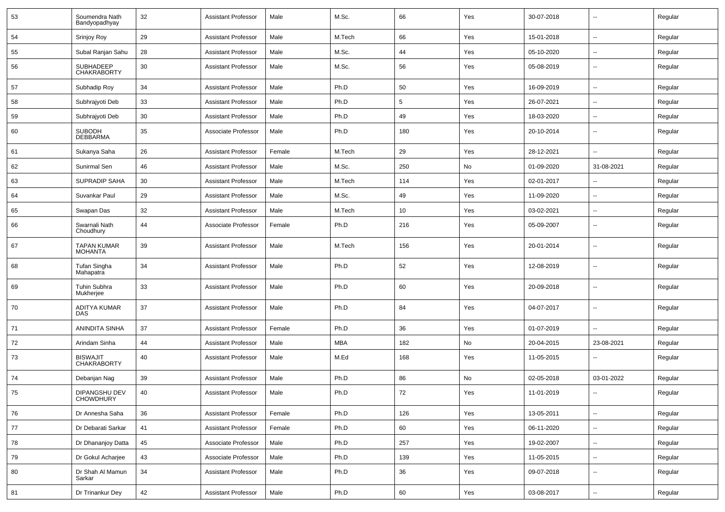| 53 | Soumendra Nath<br>Bandyopadhyay          | 32 | <b>Assistant Professor</b> | Male   | M.Sc.      | 66         | Yes | 30-07-2018 | $\overline{\phantom{a}}$ | Regular |
|----|------------------------------------------|----|----------------------------|--------|------------|------------|-----|------------|--------------------------|---------|
| 54 | Srinjoy Roy                              | 29 | <b>Assistant Professor</b> | Male   | M.Tech     | 66         | Yes | 15-01-2018 | $\overline{\phantom{a}}$ | Regular |
| 55 | Subal Ranjan Sahu                        | 28 | <b>Assistant Professor</b> | Male   | M.Sc.      | 44         | Yes | 05-10-2020 | ⊷.                       | Regular |
| 56 | <b>SUBHADEEP</b><br><b>CHAKRABORTY</b>   | 30 | <b>Assistant Professor</b> | Male   | M.Sc.      | 56         | Yes | 05-08-2019 | --                       | Regular |
| 57 | Subhadip Roy                             | 34 | <b>Assistant Professor</b> | Male   | Ph.D       | 50         | Yes | 16-09-2019 | $\overline{\phantom{a}}$ | Regular |
| 58 | Subhrajyoti Deb                          | 33 | <b>Assistant Professor</b> | Male   | Ph.D       | $\sqrt{5}$ | Yes | 26-07-2021 | -−                       | Regular |
| 59 | Subhrajyoti Deb                          | 30 | <b>Assistant Professor</b> | Male   | Ph.D       | 49         | Yes | 18-03-2020 | --                       | Regular |
| 60 | <b>SUBODH</b><br><b>DEBBARMA</b>         | 35 | Associate Professor        | Male   | Ph.D       | 180        | Yes | 20-10-2014 | $\overline{a}$           | Regular |
| 61 | Sukanya Saha                             | 26 | <b>Assistant Professor</b> | Female | M.Tech     | 29         | Yes | 28-12-2021 | Ш,                       | Regular |
| 62 | Sunirmal Sen                             | 46 | <b>Assistant Professor</b> | Male   | M.Sc.      | 250        | No  | 01-09-2020 | 31-08-2021               | Regular |
| 63 | <b>SUPRADIP SAHA</b>                     | 30 | <b>Assistant Professor</b> | Male   | M.Tech     | 114        | Yes | 02-01-2017 | $\overline{a}$           | Regular |
| 64 | Suvankar Paul                            | 29 | <b>Assistant Professor</b> | Male   | M.Sc.      | 49         | Yes | 11-09-2020 | --                       | Regular |
| 65 | Swapan Das                               | 32 | <b>Assistant Professor</b> | Male   | M.Tech     | 10         | Yes | 03-02-2021 | --                       | Regular |
| 66 | Swarnali Nath<br>Choudhury               | 44 | Associate Professor        | Female | Ph.D       | 216        | Yes | 05-09-2007 | -−                       | Regular |
| 67 | TAPAN KUMAR<br><b>MOHANTA</b>            | 39 | <b>Assistant Professor</b> | Male   | M.Tech     | 156        | Yes | 20-01-2014 | ۵.                       | Regular |
| 68 | Tufan Singha<br>Mahapatra                | 34 | <b>Assistant Professor</b> | Male   | Ph.D       | 52         | Yes | 12-08-2019 | --                       | Regular |
| 69 | Tuhin Subhra<br>Mukherjee                | 33 | <b>Assistant Professor</b> | Male   | Ph.D       | 60         | Yes | 20-09-2018 | --                       | Regular |
| 70 | ADITYA KUMAR<br><b>DAS</b>               | 37 | <b>Assistant Professor</b> | Male   | Ph.D       | 84         | Yes | 04-07-2017 | ۵.                       | Regular |
| 71 | ANINDITA SINHA                           | 37 | <b>Assistant Professor</b> | Female | Ph.D       | 36         | Yes | 01-07-2019 | --                       | Regular |
| 72 | Arindam Sinha                            | 44 | <b>Assistant Professor</b> | Male   | <b>MBA</b> | 182        | No  | 20-04-2015 | 23-08-2021               | Regular |
| 73 | <b>BISWAJIT</b><br><b>CHAKRABORTY</b>    | 40 | <b>Assistant Professor</b> | Male   | M.Ed       | 168        | Yes | 11-05-2015 | --                       | Regular |
| 74 | Debanjan Nag                             | 39 | <b>Assistant Professor</b> | Male   | Ph.D       | 86         | No  | 02-05-2018 | 03-01-2022               | Regular |
| 75 | <b>DIPANGSHU DEV</b><br><b>CHOWDHURY</b> | 40 | <b>Assistant Professor</b> | Male   | Ph.D       | 72         | Yes | 11-01-2019 | --                       | Regular |
| 76 | Dr Annesha Saha                          | 36 | <b>Assistant Professor</b> | Female | Ph.D       | 126        | Yes | 13-05-2011 | $\overline{\phantom{a}}$ | Regular |
| 77 | Dr Debarati Sarkar                       | 41 | Assistant Professor        | Female | Ph.D       | 60         | Yes | 06-11-2020 | $\sim$                   | Regular |
| 78 | Dr Dhananjoy Datta                       | 45 | Associate Professor        | Male   | Ph.D       | 257        | Yes | 19-02-2007 | $\overline{\phantom{a}}$ | Regular |
| 79 | Dr Gokul Acharjee                        | 43 | Associate Professor        | Male   | Ph.D       | 139        | Yes | 11-05-2015 | $\sim$                   | Regular |
| 80 | Dr Shah Al Mamun<br>Sarkar               | 34 | <b>Assistant Professor</b> | Male   | Ph.D       | 36         | Yes | 09-07-2018 | $\sim$                   | Regular |
| 81 | Dr Trinankur Dey                         | 42 | <b>Assistant Professor</b> | Male   | Ph.D       | 60         | Yes | 03-08-2017 | н.                       | Regular |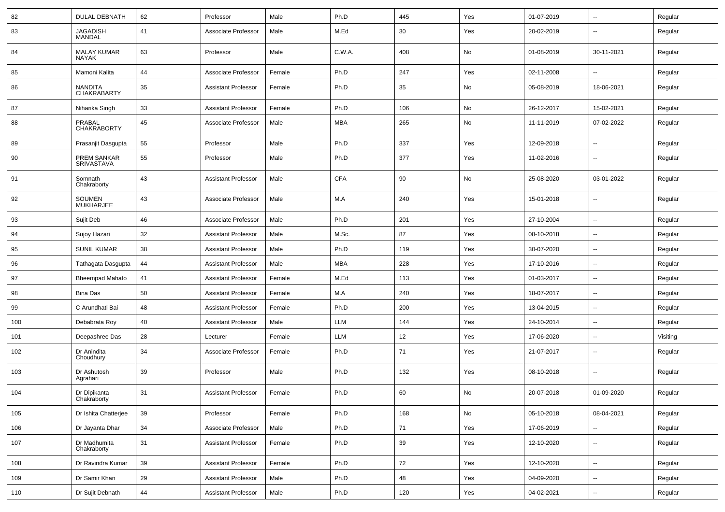| 82  | <b>DULAL DEBNATH</b>                 | 62 | Professor                  | Male   | Ph.D       | 445 | Yes | 01-07-2019 | $\sim$                   | Regular  |
|-----|--------------------------------------|----|----------------------------|--------|------------|-----|-----|------------|--------------------------|----------|
| 83  | <b>JAGADISH</b><br>MANDAL            | 41 | Associate Professor        | Male   | M.Ed       | 30  | Yes | 20-02-2019 | --                       | Regular  |
| 84  | <b>MALAY KUMAR</b><br><b>NAYAK</b>   | 63 | Professor                  | Male   | C.W.A.     | 408 | No  | 01-08-2019 | 30-11-2021               | Regular  |
| 85  | Mamoni Kalita                        | 44 | Associate Professor        | Female | Ph.D       | 247 | Yes | 02-11-2008 | -−                       | Regular  |
| 86  | <b>NANDITA</b><br><b>CHAKRABARTY</b> | 35 | <b>Assistant Professor</b> | Female | Ph.D       | 35  | No  | 05-08-2019 | 18-06-2021               | Regular  |
| 87  | Niharika Singh                       | 33 | <b>Assistant Professor</b> | Female | Ph.D       | 106 | No  | 26-12-2017 | 15-02-2021               | Regular  |
| 88  | PRABAL<br><b>CHAKRABORTY</b>         | 45 | Associate Professor        | Male   | <b>MBA</b> | 265 | No  | 11-11-2019 | 07-02-2022               | Regular  |
| 89  | Prasanjit Dasgupta                   | 55 | Professor                  | Male   | Ph.D       | 337 | Yes | 12-09-2018 | $\overline{\phantom{a}}$ | Regular  |
| 90  | PREM SANKAR<br>SRIVASTAVA            | 55 | Professor                  | Male   | Ph.D       | 377 | Yes | 11-02-2016 | --                       | Regular  |
| 91  | Somnath<br>Chakraborty               | 43 | <b>Assistant Professor</b> | Male   | <b>CFA</b> | 90  | No  | 25-08-2020 | 03-01-2022               | Regular  |
| 92  | <b>SOUMEN</b><br><b>MUKHARJEE</b>    | 43 | Associate Professor        | Male   | M.A        | 240 | Yes | 15-01-2018 | --                       | Regular  |
| 93  | Sujit Deb                            | 46 | Associate Professor        | Male   | Ph.D       | 201 | Yes | 27-10-2004 | --                       | Regular  |
| 94  | Sujoy Hazari                         | 32 | <b>Assistant Professor</b> | Male   | M.Sc.      | 87  | Yes | 08-10-2018 | $\sim$                   | Regular  |
| 95  | <b>SUNIL KUMAR</b>                   | 38 | <b>Assistant Professor</b> | Male   | Ph.D       | 119 | Yes | 30-07-2020 | $\sim$                   | Regular  |
| 96  | Tathagata Dasgupta                   | 44 | <b>Assistant Professor</b> | Male   | <b>MBA</b> | 228 | Yes | 17-10-2016 | $\overline{\phantom{a}}$ | Regular  |
| 97  | <b>Bheempad Mahato</b>               | 41 | <b>Assistant Professor</b> | Female | M.Ed       | 113 | Yes | 01-03-2017 | $\sim$                   | Regular  |
| 98  | <b>Bina Das</b>                      | 50 | <b>Assistant Professor</b> | Female | M.A        | 240 | Yes | 18-07-2017 | $\overline{\phantom{a}}$ | Regular  |
| 99  | C Arundhati Bai                      | 48 | <b>Assistant Professor</b> | Female | Ph.D       | 200 | Yes | 13-04-2015 | $\overline{\phantom{a}}$ | Regular  |
| 100 | Debabrata Roy                        | 40 | <b>Assistant Professor</b> | Male   | <b>LLM</b> | 144 | Yes | 24-10-2014 | $\overline{\phantom{a}}$ | Regular  |
| 101 | Deepashree Das                       | 28 | Lecturer                   | Female | <b>LLM</b> | 12  | Yes | 17-06-2020 | $\overline{\phantom{a}}$ | Visiting |
| 102 | Dr Anindita<br>Choudhury             | 34 | Associate Professor        | Female | Ph.D       | 71  | Yes | 21-07-2017 | $\overline{\phantom{a}}$ | Regular  |
| 103 | Dr Ashutosh<br>Agrahari              | 39 | Professor                  | Male   | Ph.D       | 132 | Yes | 08-10-2018 | --                       | Regular  |
| 104 | Dr Dipikanta<br>Chakraborty          | 31 | <b>Assistant Professor</b> | Female | Ph.D       | 60  | No  | 20-07-2018 | 01-09-2020               | Regular  |
| 105 | Dr Ishita Chatterjee                 | 39 | Professor                  | Female | Ph.D       | 168 | No  | 05-10-2018 | 08-04-2021               | Regular  |
| 106 | Dr Jayanta Dhar                      | 34 | Associate Professor        | Male   | Ph.D       | 71  | Yes | 17-06-2019 | $\sim$                   | Regular  |
| 107 | Dr Madhumita<br>Chakraborty          | 31 | <b>Assistant Professor</b> | Female | Ph.D       | 39  | Yes | 12-10-2020 | $\sim$                   | Regular  |
| 108 | Dr Ravindra Kumar                    | 39 | <b>Assistant Professor</b> | Female | Ph.D       | 72  | Yes | 12-10-2020 | ш.                       | Regular  |
| 109 | Dr Samir Khan                        | 29 | <b>Assistant Professor</b> | Male   | Ph.D       | 48  | Yes | 04-09-2020 | $\sim$                   | Regular  |
| 110 | Dr Sujit Debnath                     | 44 | <b>Assistant Professor</b> | Male   | Ph.D       | 120 | Yes | 04-02-2021 | $\sim$                   | Regular  |